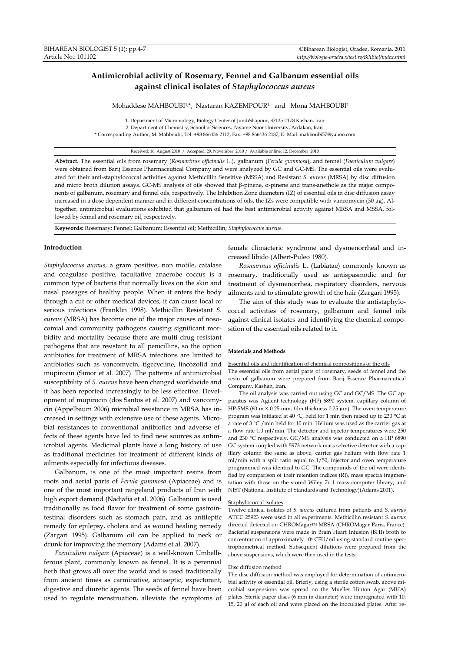# **Antimicrobial activity of Rosemary, Fennel and Galbanum essential oils against clinical isolates of** *Staphylococcus aureus*

Mohaddese MAHBOUBI<sup>1,\*</sup>, Nastaran KAZEMPOUR<sup>1</sup> and Mona MAHBOUBI<sup>2</sup>

1. Department of Microbiology, Biology Center of JundiShapour, 87135-1178 Kashan, Iran 2. Department of Chemistry, School of Sciences, Payame Noor University, Ardakan, Iran. **\*** Corresponding Author, M. Mahboubi, Tel: +98 866436 2112, Fax: +98 866436 2187, E- Mail: mahboubi57@yahoo.com

#### Received: 16. August 2010 / Accepted: 29. November 2010 / Available online: 12. December 2010

**Abstract.** The essential oils from rosemary (*Rosmarinus officinalis* L.), galbanum (*Ferula gummosa*), and fennel (*Foeniculum vulgare*) were obtained from Barij Essence Pharmaceutical Company and were analyzed by GC and GC-MS. The essential oils were evaluated for their anti-staphylococcal activities against Methicillin Sensitive (MSSA) and Resistant *S. aureus* (MRSA) by disc diffusion and micro broth dilution assays. GC-MS analysis of oils showed that β-pinene, α-pinene and trans-anethole as the major components of galbanum, rosemary and fennel oils, respectively. The Inhibition Zone diameters (IZ) of essential oils in disc diffusion assay increased in a dose dependent manner and in different concentrations of oils, the IZs were compatible with vancomycin (30 µg). Altogether, antimicrobial evaluations exhibited that galbanum oil had the best antimicrobial activity against MRSA and MSSA, followed by fennel and rosemary oil, respectively.

**Keywords:** Rosemary; Fennel; Galbanum; Essential oil; Methicillin; *Staphylococcus aureus*.

### **Introduction**

*Staphylococcus aureus*, a gram positive, non motile, catalase and coagulase positive, facultative anaerobe coccus is a common type of bacteria that normally lives on the skin and nasal passages of healthy people. When it enters the body through a cut or other medical devices, it can cause local or serious infections (Franklin 1998). Methicillin Resistant *S. aureus* (MRSA) has become one of the major causes of nosocomial and community pathogens causing significant morbidity and mortality because there are multi drug resistant pathogens that are resistant to all penicillins, so the option antibiotics for treatment of MRSA infections are limited to antibiotics such as vancomycin, tigecycline, lincozolid and mupirocin (Simor et al. 2007). The patterns of antimicrobial susceptibility of *S. aureus* have been changed worldwide and it has been reported increasingly to be less effective. Development of mupirocin (dos Santos et al. 2007) and vancomycin (Appelbaum 2006) microbial resistance in MRSA has increased in settings with extensive use of these agents. Microbial resistances to conventional antibiotics and adverse effects of these agents have led to find new sources as antimicrobial agents. Medicinal plants have a long history of use as traditional medicines for treatment of different kinds of ailments especially for infectious diseases.

Galbanum, is one of the most important resins from roots and aerial parts of *Ferula gummosa* (Apiaceae) and is one of the most important rangeland products of Iran with high export demand (Nadjafia et al. 2006). Galbanum is used traditionally as food flavor for treatment of some gastrointestinal disorders such as stomach pain, and as antileptic remedy for epilepsy, cholera and as wound healing remedy (Zargari 1995). Galbanum oil can be applied to neck or drunk for improving the memory (Adams et al. 2007).

*Foeniculum vulgare* (Apiaceae) is a well-known Umbelliferous plant, commonly known as fennel. It is a perennial herb that grows all over the world and is used traditionally from ancient times as carminative, antiseptic, expectorant, digestive and diuretic agents. The seeds of fennel have been used to regulate menstruation, alleviate the symptoms of female climacteric syndrome and dysmenorrheal and increased libido (Albert-Puleo 1980).

*Rosmarinus officinalis* L. (Labiatae) commonly known as rosemary, traditionally used as antispasmodic and for treatment of dysmenorrhea, respiratory disorders, nervous ailments and to stimulate growth of the hair (Zargari 1995).

The aim of this study was to evaluate the antistaphylococcal activities of rosemary, galbanum and fennel oils against clinical isolates and identifying the chemical composition of the essential oils related to it.

## **Materials and Methods**

#### Essential oils and identification of chemical compositions of the oils

The essential oils from aerial parts of rosemary, seeds of fennel and the resin of galbanum were prepared from Barij Essence Pharmaceutical Company, Kashan, Iran.

The oil analysis was carried out using GC and GC/MS. The GC apparatus was Agilent technology (HP) 6890 system, capillary column of HP-5MS (60 m × 0.25 mm, film thickness 0.25 µm). The oven temperature program was initiated at 40 °C, held for 1 min then raised up to 230 °C at a rate of 3 °C /min held for 10 min. Helium was used as the carrier gas at a flow rate 1.0 ml/min. The detector and injector temperatures were 250 and 230 °C respectively. GC/MS analysis was conducted on a HP 6890 GC system coupled with 5973 network mass selective detector with a capillary column the same as above, carrier gas helium with flow rate 1 ml/min with a split ratio equal to 1/50, injector and oven temperature programmed was identical to GC. The compounds of the oil were identified by comparison of their retention indices (RI), mass spectra fragmentation with those on the stored Wiley 7n.1 mass computer library, and NIST (National Institute of Standards and Technology)(Adams 2001).

#### Staphylococcal isolates

Twelve clinical isolates of *S. aureus* cultured from patients and *S. aureus*  ATCC 25923 were used in all experiments. Methicillin resistant *S. aureus* directed detected on CHROMagar™ MRSA (CHROMagar Paris, France). Bacterial suspensions were made in Brain Heart Infusion (BHI) broth to concentration of approximately 108 CFU/ml using standard routine spectrophometrical method. Subsequent dilutions were prepared from the above suspensions, which were then used in the tests.

#### Disc diffusion method

The disc diffusion method was employed for determination of antimicrobial activity of essential oil. Briefly, using a sterile cotton swab, above microbial suspensions was spread on the Mueller Hinton Agar (MHA) plates. Sterile paper discs (6 mm in diameter) were impregnated with 10, 15, 20 µl of each oil and were placed on the inoculated plates. After re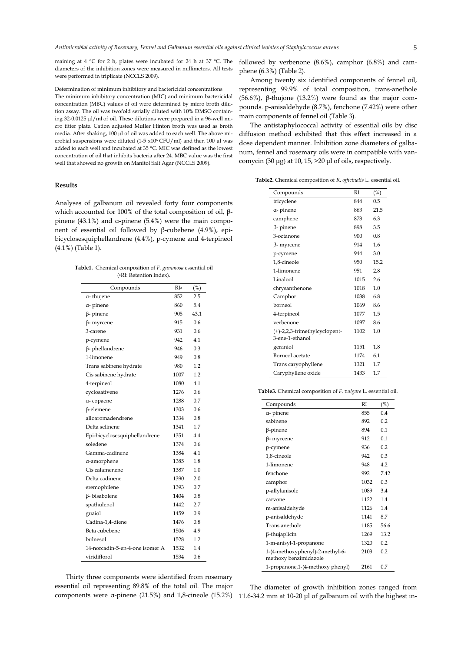maining at 4 °C for 2 h, plates were incubated for 24 h at 37 °C. The diameters of the inhibition zones were measured in millimeters. All tests were performed in triplicate (NCCLS 2009).

# Determination of minimum inhibitory and bactericidal concentrations

The minimum inhibitory concentration (MIC) and minimum bactericidal concentration (MBC) values of oil were determined by micro broth dilution assay. The oil was twofold serially diluted with 10% DMSO containing 32-0.0125 µl/ml of oil. These dilutions were prepared in a 96-well micro titter plate. Cation adjusted Muller Hinton broth was used as broth media. After shaking, 100  $\upmu$ l of oil was added to each well. The above microbial suspensions were diluted (1-5  $x10$ <sup>6</sup> CFU/ml) and then 100 µl was added to each well and incubated at 35 °C. MIC was defined as the lowest concentration of oil that inhibits bacteria after 24. MBC value was the first well that showed no growth on Manitol Salt Agar (NCCLS 2009).

## **Results**

Analyses of galbanum oil revealed forty four components which accounted for 100% of the total composition of oil, βpinene (43.1%) and α-pinene (5.4%) were the main component of essential oil followed by β-cubebene (4.9%), epibicyclosesquiphellandrene (4.4%), p-cymene and 4-terpineol (4.1%) (Table 1).

| Table1. Chemical composition of F. gummosa essential oil |
|----------------------------------------------------------|
| ( <sup>a</sup> RI: Retention Index).                     |

| Compounds                       | RIa  | (%)  |
|---------------------------------|------|------|
| a-thujene                       | 852  | 2.5  |
| a-pinene                        | 860  | 5.4  |
| $\beta$ - pinene                | 905  | 43.1 |
| $β$ - myrcene                   | 915  | 0.6  |
| 3-carene                        | 931  | 0.6  |
| p-cymene                        | 942  | 4.1  |
| $\beta$ - phellandrene          | 946  | 0.3  |
| 1-limonene                      | 949  | 0.8  |
| Trans sabinene hydrate          | 980  | 1.2  |
| Cis sabinene hydrate            | 1007 | 12   |
| 4-terpineol                     | 1080 | 4.1  |
| cyclosativene                   | 1276 | 0.6  |
| a-copaene                       | 1288 | 0.7  |
| $\beta$ -elemene                | 1303 | 0.6  |
| alloaromadendrene               | 1334 | 0.8  |
| Delta selinene                  | 1341 | 1.7  |
| Epi-bicyclosesquiphellandrene   | 1351 | 44   |
| soledene                        | 1374 | 0.6  |
| Gamma-cadinene                  | 1384 | 4.1  |
| a-amorphene                     | 1385 | 1.8  |
| Cis calamenene                  | 1387 | 1.0  |
| Delta cadinene                  | 1390 | 2.0  |
| eremophilene                    | 1393 | 0.7  |
| $\beta$ - bisabolene            | 1404 | 0.8  |
| spathulenol                     | 1442 | 2.7  |
| guaiol                          | 1459 | 0.9  |
| Cadina-1,4-diene                | 1476 | 0.8  |
| Beta cubebene                   | 1506 | 4.9  |
| bulnesol                        | 1528 | 1.2  |
| 14-norcadin-5-en-4-one isomer A | 1532 | 1.4  |
| viridiflorol                    | 1534 | 0.6  |

Thirty three components were identified from rosemary essential oil representing 89.8% of the total oil. The major followed by verbenone (8.6%), camphor (6.8%) and camphene (6.3%) (Table 2).

Among twenty six identified components of fennel oil, representing 99.9% of total composition, trans-anethole (56.6%), β-thujone (13.2%) were found as the major compounds. p-anisaldehyde (8.7%), fenchone (7.42%) were other main components of fennel oil (Table 3).

The antistaphylococcal activity of essential oils by disc diffusion method exhibited that this effect increased in a dose dependent manner. Inhibition zone diameters of galbanum, fennel and rosemary oils were in compatible with vancomycin (30 μg) at 10, 15,  $>$  20 μl of oils, respectively.

**Table2.** Chemical composition of *R. officinalis* L. essential oil.

| Compounds                                        | RI   | (%)  |
|--------------------------------------------------|------|------|
| tricyclene                                       | 844  | 0.5  |
| α- pinene                                        | 863  | 21.5 |
| camphene                                         | 873  | 6.3  |
| $\beta$ - pinene                                 | 898  | 3.5  |
| 3-octanone                                       | 900  | 0.8  |
| β- myrcene                                       | 914  | 1.6  |
| p-cymene                                         | 944  | 3.0  |
| 1,8-cineole                                      | 950  | 15.2 |
| 1-limonene                                       | 951  | 2.8  |
| Linalool                                         | 1015 | 2.6  |
| chrysanthenone                                   | 1018 | 1.0  |
| Camphor                                          | 1038 | 6.8  |
| borneol                                          | 1069 | 8.6  |
| 4-terpineol                                      | 1077 | 1.5  |
| verbenone                                        | 1097 | 8.6  |
| (+)-2,2,3-trimethylcyclopent-<br>3-ene-1-ethanol | 1102 | 1.0  |
| geraniol                                         | 1151 | 1.8  |
| Borneol acetate                                  | 1174 | 6.1  |
| Trans caryophyllene                              | 1321 | 1.7  |
| Caryphyllene oxide                               | 1433 | 1.7  |

**Table3.** Chemical composition of *F. vulgare* L. essential oil.

| Compounds                                                | RI   | (%)  |
|----------------------------------------------------------|------|------|
| a-pinene                                                 | 855  | 0.4  |
| sabinene                                                 | 892  | 0.2  |
| $\beta$ -pinene                                          | 894  | 0.1  |
| β- myrcene                                               | 912  | 0.1  |
| p-cymene                                                 | 936  | 0.2  |
| 1,8-cineole                                              | 942  | 0.3  |
| 1-limonene                                               | 948  | 4.2  |
| fenchone                                                 | 992  | 7.42 |
| camphor                                                  | 1032 | 0.3  |
| p-allylanisole                                           | 1089 | 3.4  |
| carvone                                                  | 1122 | 1.4  |
| m-anisaldehyde                                           | 1126 | 1.4  |
| p-anisaldehyde                                           | 1141 | 8.7  |
| Trans anethole                                           | 1185 | 56.6 |
| $\beta$ -thujaplicin                                     | 1269 | 13.2 |
| 1-m-anisyl-1-propanone                                   | 1320 | 0.2  |
| 1-(4-methoxyphenyl)-2-methyl-6-<br>methoxy benzimidazole | 2103 | 0.2  |
| 1-propanone,1-(4-methoxy phenyl)                         | 2161 | 0.7  |

components were α-pinene (21.5%) and 1,8-cineole (15.2%) 11.6-34.2 mm at 10-20 μl of galbanum oil with the highest in-The diameter of growth inhibition zones ranged from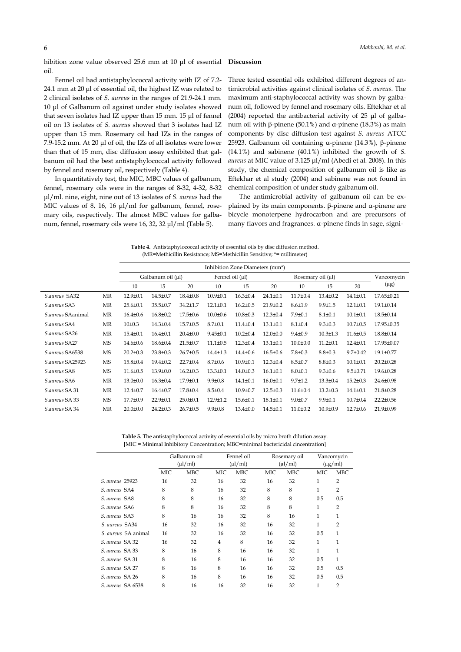hibition zone value observed 25.6 mm at 10 μl of essential oil. **Discussion** 

Fennel oil had antistaphylococcal activity with IZ of 7.2- 24.1 mm at 20 μl of essential oil, the highest IZ was related to 2 clinical isolates of *S. aureus* in the ranges of 21.9-24.1 mm. 10 μl of Galbanum oil against under study isolates showed that seven isolates had IZ upper than 15 mm. 15 μl of fennel oil on 13 isolates of *S. aureus* showed that 3 isolates had IZ upper than 15 mm. Rosemary oil had IZs in the ranges of 7.9-15.2 mm. At 20 μl of oil, the IZs of all isolates were lower than that of 15 mm, disc diffusion assay exhibited that galbanum oil had the best antistaphylococcal activity followed by fennel and rosemary oil, respectively (Table 4).

In quantitatively test, the MIC, MBC values of galbanum, fennel, rosemary oils were in the ranges of 8-32, 4-32, 8-32 μl/ml. nine, eight, nine out of 13 isolates of *S. aureus* had the MIC values of 8, 16, 16 μl/ml for galbanum, fennel, rosemary oils, respectively. The almost MBC values for galbanum, fennel, rosemary oils were 16, 32, 32 μl/ml (Table 5).

Three tested essential oils exhibited different degrees of antimicrobial activities against clinical isolates of *S. aureus*. The maximum anti-staphylococcal activity was shown by galbanum oil, followed by fennel and rosemary oils. Eftekhar et al (2004) reported the antibacterial activity of 25 μl of galbanum oil with β-pinene (50.1%) and α-pinene (18.3%) as main components by disc diffusion test against *S. aureus* ATCC 25923. Galbanum oil containing α-pinene (14.3%), β-pinene (14.1%) and sabinene (40.1%) inhibited the growth of *S. aureus* at MIC value of 3.125 μl/ml (Abedi et al. 2008). In this study, the chemical composition of galbanum oil is like as Eftekhar et al study (2004) and sabinene was not found in chemical composition of under study galbanum oil.

The antimicrobial activity of galbanum oil can be explained by its main components. β-pinene and α-pinene are bicycle monoterpene hydrocarbon and are precursors of many flavors and fragrances. α-pinene finds in sage, signi-

**Table 4.** Antistaphylococcal activity of essential oils by disc diffusion method. (MR=Methicillin Resistance; MS=Methicillin Sensitive; \*= millimeter)

|                   |           | Inhibition Zone Diameters (mm*) |                |                |                      |                |                |                   |                |                |                 |
|-------------------|-----------|---------------------------------|----------------|----------------|----------------------|----------------|----------------|-------------------|----------------|----------------|-----------------|
|                   |           | Galbanum oil $(\mu l)$          |                |                | Fennel oil $(\mu l)$ |                |                | Rosemary oil (µl) |                |                | Vancomycin      |
|                   |           | 10                              | 15             | 20             | 10                   | 15             | 20             | 10                | 15             | 20             | $(\mu g)$       |
| S.aureus SA32     | MR        | $12.9 \pm 0.1$                  | $14.5 \pm 0.7$ | $18.4 \pm 0.8$ | $10.9 + 0.1$         | $16.3 \pm 0.4$ | $24.1 \pm 0.1$ | $11.7 \pm 0.4$    | $13.4 \pm 0.2$ | $14.1 \pm 0.1$ | 17.65±0.21      |
| S.aureus SA3      | MR        | $25.6 \pm 0.1$                  | $35.5 \pm 0.7$ | $34.2 \pm 1.7$ | $12.1 \pm 0.1$       | $16.2 \pm 0.5$ | $21.9 \pm 0.2$ | $8.6{\pm}1.9$     | $9.9 \pm 1.5$  | $12.1 \pm 0.1$ | $19.1 \pm 0.14$ |
| S.aureus SAanimal | MR        | $16.4 \pm 0.6$                  | $16.8 \pm 0.2$ | $17.5 \pm 0.6$ | $10.0 \pm 0.6$       | $10.8 \pm 0.3$ | $12.3 \pm 0.4$ | $7.9 \pm 0.1$     | $8.1 \pm 0.1$  | $10.1 \pm 0.1$ | 18.5±0.14       |
| S.aureus SA4      | MR        | $10\pm0.3$                      | $14.3 \pm 0.4$ | $15.7 \pm 0.5$ | $8.7 \pm 0.1$        | $11.4 \pm 0.4$ | $13.1 \pm 0.1$ | $8.1 \pm 0.4$     | $9.3 \pm 0.3$  | $10.7 + 0.5$   | 17.95±0.35      |
| S.aureus SA26     | MR        | $15.4 \pm 0.1$                  | $16.4 \pm 0.1$ | $20.4 \pm 0.0$ | $9.45 \pm 0.1$       | $10.2 \pm 0.4$ | $12.0 \pm 0.0$ | $9.4 \pm 0.9$     | $10.3 \pm 1.3$ | $11.6 \pm 0.5$ | 18.8±0.14       |
| S.aureus SA27     | <b>MS</b> | $14.6 \pm 0.6$                  | $18.6 \pm 0.4$ | $21.5 \pm 0.7$ | $11.1 \pm 0.5$       | $12.3 \pm 0.4$ | $13.1 \pm 0.1$ | $10.0 + 0.0$      | $11.2 \pm 0.1$ | $12.4 \pm 0.1$ | 17.95±0.07      |
| S.aureus SA6538   | MS        | $20.2 \pm 0.3$                  | $23.8 \pm 0.3$ | $26.7 \pm 0.5$ | $14.4 \pm 1.3$       | $14.4 \pm 0.6$ | $16.5 \pm 0.6$ | $7.8 \pm 0.3$     | $8.8 \pm 0.3$  | $9.7 \pm 0.42$ | 19.1±0.77       |
| S.aureus SA25923  | <b>MS</b> | $15.8 \pm 0.4$                  | $19.4 \pm 0.2$ | $22.7 \pm 0.4$ | $8.7 \pm 0.6$        | $10.9 \pm 0.1$ | $12.3 \pm 0.4$ | $8.5 \pm 0.7$     | $8.8 \pm 0.3$  | $10.1 \pm 0.1$ | $20.2 \pm 0.28$ |
| S.aureus SA8      | <b>MS</b> | $11.6 \pm 0.5$                  | $13.9 \pm 0.0$ | $16.2 \pm 0.3$ | $13.3 \pm 0.1$       | $14.0 \pm 0.3$ | $16.1 \pm 0.1$ | $8.0 + 0.1$       | $9.3 \pm 0.6$  | $9.5 \pm 0.71$ | $19.6 \pm 0.28$ |
| S.aureus SA6      | MR        | $13.0 \pm 0.0$                  | $16.3 \pm 0.4$ | $17.9 \pm 0.1$ | $9.9 \pm 0.8$        | $14.1 \pm 0.1$ | $16.0 \pm 0.1$ | $9.7 \pm 1.2$     | $13.3 \pm 0.4$ | $15.2 \pm 0.3$ | $24.6 \pm 0.98$ |
| S.aureus SA 31    | MR        | $12.4 \pm 0.7$                  | $16.4 \pm 0.7$ | $17.8 \pm 0.4$ | $8.5 \pm 0.4$        | $10.9 \pm 0.7$ | $12.5 \pm 0.3$ | $11.6 \pm 0.4$    | $13.2 \pm 0.3$ | $14.1 \pm 0.1$ | $21.8 \pm 0.28$ |
| S.aureus SA 33    | <b>MS</b> | $17.7 \pm 0.9$                  | $22.9 \pm 0.1$ | $25.0 \pm 0.1$ | $12.9 \pm 1.2$       | $15.6 \pm 0.1$ | $18.1 \pm 0.1$ | $9.0 \pm 0.7$     | $9.9 \pm 0.1$  | $10.7 + 0.4$   | $22.2 \pm 0.56$ |
| S.aureus SA 34    | MR        | $20.0 \pm 0.0$                  | $24.2 \pm 0.3$ | $26.7 \pm 0.5$ | $9.9 \pm 0.8$        | $13.4 \pm 0.0$ | $14.5 \pm 0.1$ | $11.0 \pm 0.2$    | $10.9 + 0.9$   | $12.7 \pm 0.6$ | 21.9±0.99       |

**Table 5.** The antistaphylococcal activity of essential oils by micro broth dilution assay. [MIC = Minimal Inhibitory Concentration; MBC=minimal bactericidal cincentration]

|                            | Galbanum oil<br>$(\mu l/ml)$ |     |                | Fennel oil<br>$(\mu l/ml)$ |     | Rosemary oil<br>$(\mu l/ml)$ |     | Vancomycin<br>$(\mu g/ml)$ |  |
|----------------------------|------------------------------|-----|----------------|----------------------------|-----|------------------------------|-----|----------------------------|--|
|                            | MIC                          | MBC | MIC            | MBC                        | MIC | <b>MBC</b>                   | MIC | <b>MBC</b>                 |  |
| S. aureus 25923            | 16                           | 32  | 16             | 32                         | 16  | 32                           | 1   | $\overline{2}$             |  |
| S. aureus SA4              | 8                            | 8   | 16             | 32                         | 8   | 8                            | 1   | $\overline{2}$             |  |
| S. aureus SA8              | 8                            | 8   | 16             | 32                         | 8   | 8                            | 0.5 | 0.5                        |  |
| S. aureus SA6              | 8                            | 8   | 16             | 32                         | 8   | 8                            | 1   | $\overline{2}$             |  |
| S. aureus SA3              | 8                            | 16  | 16             | 32                         | 8   | 16                           | 1   | $\mathbf{1}$               |  |
| S. aureus SA34             | 16                           | 32  | 16             | 32                         | 16  | 32                           | 1   | $\overline{2}$             |  |
| <i>S. aureus</i> SA animal | 16                           | 32  | 16             | 32                         | 16  | 32                           | 0.5 | 1                          |  |
| S. aureus SA 32            | 16                           | 32  | $\overline{4}$ | 8                          | 16  | 32                           | 1   | 1                          |  |
| S. aureus SA 33            | 8                            | 16  | 8              | 16                         | 16  | 32                           | 1   | 1                          |  |
| S. aureus SA 31            | 8                            | 16  | 8              | 16                         | 16  | 32                           | 0.5 | $\mathbf{1}$               |  |
| S. aureus SA 27            | 8                            | 16  | 8              | 16                         | 16  | 32                           | 0.5 | 0.5                        |  |
| S. aureus SA 26            | 8                            | 16  | 8              | 16                         | 16  | 32                           | 0.5 | 0.5                        |  |
| S. aureus SA 6538          | 8                            | 16  | 16             | 32                         | 16  | 32                           | 1   | $\overline{2}$             |  |